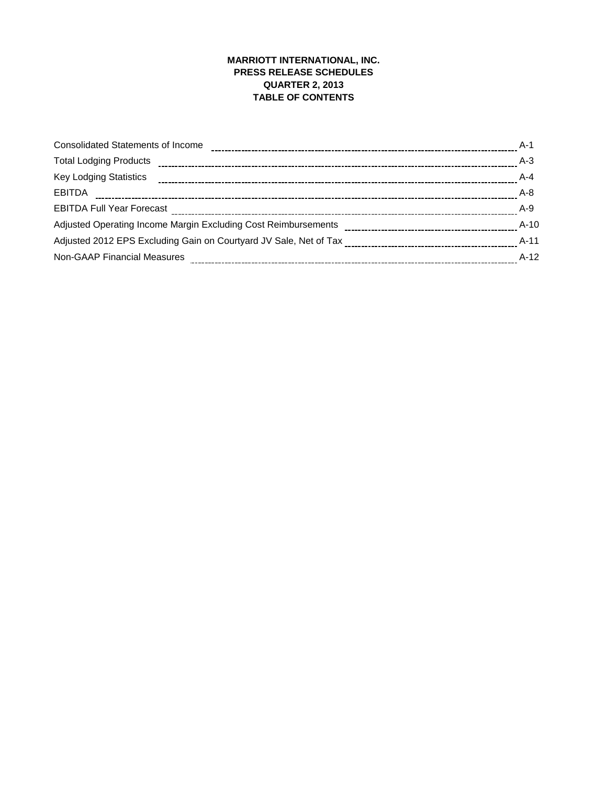# **MARRIOTT INTERNATIONAL, INC. PRESS RELEASE SCHEDULES QUARTER 2, 2013 TABLE OF CONTENTS**

| <b>Consolidated Statements of Income</b>                       | $A-1$   |
|----------------------------------------------------------------|---------|
| <b>Total Lodging Products</b>                                  | $A-3$   |
| <b>Key Lodging Statistics</b>                                  | $A - 4$ |
| <b>EBITDA</b>                                                  | $A - 8$ |
| <b>EBITDA Full Year Forecast</b>                               | $A-9$   |
| Adjusted Operating Income Margin Excluding Cost Reimbursements | $A-10$  |
|                                                                | $A-11$  |
| <b>Non-GAAP Financial Measures</b>                             | $A-12$  |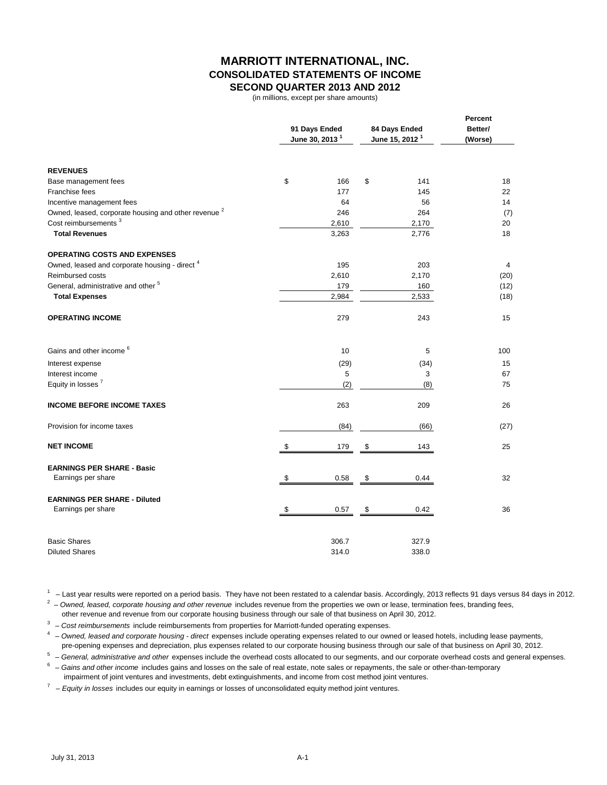### **MARRIOTT INTERNATIONAL, INC. CONSOLIDATED STATEMENTS OF INCOME SECOND QUARTER 2013 AND 2012**

(in millions, except per share amounts)

|                                                                 | 91 Days Ended<br>June 30, 2013 <sup>1</sup> |    | 84 Days Ended<br>June 15, 2012 <sup>1</sup> | Percent<br>Better/<br>(Worse) |
|-----------------------------------------------------------------|---------------------------------------------|----|---------------------------------------------|-------------------------------|
| <b>REVENUES</b>                                                 |                                             |    |                                             |                               |
| Base management fees                                            | \$<br>166                                   | \$ | 141                                         | 18                            |
| Franchise fees                                                  | 177                                         |    | 145                                         | 22                            |
| Incentive management fees                                       | 64                                          |    | 56                                          | 14                            |
| Owned, leased, corporate housing and other revenue <sup>2</sup> | 246                                         |    | 264                                         | (7)                           |
| Cost reimbursements <sup>3</sup>                                | 2,610                                       |    | 2,170                                       | 20                            |
| <b>Total Revenues</b>                                           | 3,263                                       |    | 2,776                                       | 18                            |
| <b>OPERATING COSTS AND EXPENSES</b>                             |                                             |    |                                             |                               |
| Owned, leased and corporate housing - direct <sup>4</sup>       | 195                                         |    | 203                                         | $\overline{4}$                |
| Reimbursed costs                                                | 2,610                                       |    | 2,170                                       | (20)                          |
| General, administrative and other <sup>5</sup>                  | 179                                         |    | 160                                         | (12)                          |
| <b>Total Expenses</b>                                           | 2,984                                       |    | 2,533                                       | (18)                          |
| <b>OPERATING INCOME</b>                                         | 279                                         |    | 243                                         | 15                            |
| Gains and other income <sup>6</sup>                             | 10                                          |    | 5                                           | 100                           |
| Interest expense                                                | (29)                                        |    | (34)                                        | 15                            |
| Interest income                                                 | 5                                           |    | 3                                           | 67                            |
| Equity in losses <sup>7</sup>                                   | (2)                                         |    | (8)                                         | 75                            |
| <b>INCOME BEFORE INCOME TAXES</b>                               | 263                                         |    | 209                                         | 26                            |
| Provision for income taxes                                      | (84)                                        |    | (66)                                        | (27)                          |
| <b>NET INCOME</b>                                               | \$<br>179                                   | \$ | 143                                         | 25                            |
| <b>EARNINGS PER SHARE - Basic</b>                               |                                             |    |                                             |                               |
| Earnings per share                                              | \$<br>0.58                                  | \$ | 0.44                                        | 32                            |
| <b>EARNINGS PER SHARE - Diluted</b>                             |                                             |    |                                             |                               |
| Earnings per share                                              | \$<br>0.57                                  | \$ | 0.42                                        | 36                            |
| <b>Basic Shares</b>                                             | 306.7                                       |    | 327.9                                       |                               |
| <b>Diluted Shares</b>                                           | 314.0                                       |    | 338.0                                       |                               |

 $1 -$  Last year results were reported on a period basis. They have not been restated to a calendar basis. Accordingly, 2013 reflects 91 days versus 84 days in 2012.

<sup>2</sup> – Owned, leased, corporate housing and other revenue includes revenue from the properties we own or lease, termination fees, branding fees,

other revenue and revenue from our corporate housing business through our sale of that business on April 30, 2012.

3 – *Cost reimbursements* include reimbursements from properties for Marriott-funded operating expenses.

4 – *Owned, leased and corporate housing - direct* expenses include operating expenses related to our owned or leased hotels, including lease payments, pre-opening expenses and depreciation, plus expenses related to our corporate housing business through our sale of that business on April 30, 2012.

5 – *General, administrative and other* expenses include the overhead costs allocated to our segments, and our corporate overhead costs and general expenses.

<sup>6</sup> – Gains and other income includes gains and losses on the sale of real estate, note sales or repayments, the sale or other-than-temporary

impairment of joint ventures and investments, debt extinguishments, and income from cost method joint ventures.

7 – *Equity in losses* includes our equity in earnings or losses of unconsolidated equity method joint ventures.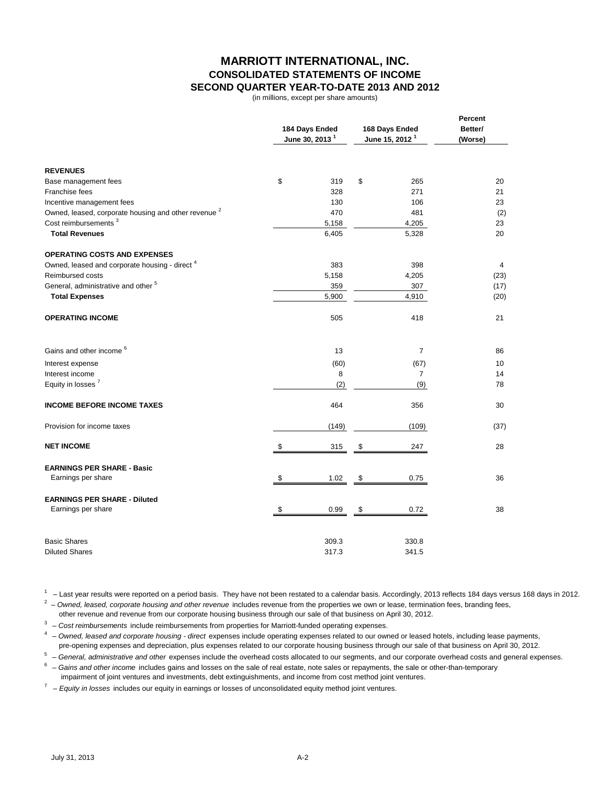# **MARRIOTT INTERNATIONAL, INC. CONSOLIDATED STATEMENTS OF INCOME SECOND QUARTER YEAR-TO-DATE 2013 AND 2012**

(in millions, except per share amounts)

|                                                                 |     | 184 Days Ended<br>June 30, 2013 <sup>1</sup> | 168 Days Ended<br>June 15, 2012 <sup>1</sup> | Percent<br>Better/<br>(Worse) |  |
|-----------------------------------------------------------------|-----|----------------------------------------------|----------------------------------------------|-------------------------------|--|
| <b>REVENUES</b>                                                 |     |                                              |                                              |                               |  |
| Base management fees                                            | \$  | 319                                          | \$<br>265                                    | 20                            |  |
| Franchise fees                                                  |     | 328                                          | 271                                          | 21                            |  |
| Incentive management fees                                       |     | 130                                          | 106                                          | 23                            |  |
| Owned, leased, corporate housing and other revenue <sup>2</sup> |     | 470                                          | 481                                          | (2)                           |  |
| Cost reimbursements <sup>3</sup>                                |     | 5,158                                        | 4,205                                        | 23                            |  |
| <b>Total Revenues</b>                                           |     | 6,405                                        | 5,328                                        | 20                            |  |
| <b>OPERATING COSTS AND EXPENSES</b>                             |     |                                              |                                              |                               |  |
| Owned, leased and corporate housing - direct <sup>4</sup>       |     | 383                                          | 398                                          | 4                             |  |
| <b>Reimbursed costs</b>                                         |     | 5,158                                        | 4,205                                        | (23)                          |  |
| General, administrative and other <sup>5</sup>                  |     | 359                                          | 307                                          | (17)                          |  |
| <b>Total Expenses</b>                                           |     | 5,900                                        | 4,910                                        | (20)                          |  |
| <b>OPERATING INCOME</b>                                         |     | 505                                          | 418                                          | 21                            |  |
| Gains and other income <sup>6</sup>                             |     | 13                                           | $\overline{7}$                               | 86                            |  |
| Interest expense                                                |     | (60)                                         | (67)                                         | 10                            |  |
| Interest income                                                 |     | 8                                            | $\overline{7}$                               | 14                            |  |
| Equity in losses <sup>7</sup>                                   |     | (2)                                          | (9)                                          | 78                            |  |
| <b>INCOME BEFORE INCOME TAXES</b>                               |     | 464                                          | 356                                          | 30                            |  |
| Provision for income taxes                                      |     | (149)                                        | (109)                                        | (37)                          |  |
| <b>NET INCOME</b>                                               | -\$ | 315                                          | \$<br>247                                    | 28                            |  |
| <b>EARNINGS PER SHARE - Basic</b>                               |     |                                              |                                              |                               |  |
| Earnings per share                                              | \$  | 1.02                                         | \$<br>0.75                                   | 36                            |  |
| <b>EARNINGS PER SHARE - Diluted</b>                             |     |                                              |                                              |                               |  |
| Earnings per share                                              | \$  | 0.99                                         | \$<br>0.72                                   | 38                            |  |
| <b>Basic Shares</b>                                             |     | 309.3                                        | 330.8                                        |                               |  |
| <b>Diluted Shares</b>                                           |     | 317.3                                        | 341.5                                        |                               |  |

 $1 -$  Last year results were reported on a period basis. They have not been restated to a calendar basis. Accordingly, 2013 reflects 184 days versus 168 days in 2012.

<sup>2</sup> – Owned, leased, corporate housing and other revenue includes revenue from the properties we own or lease, termination fees, branding fees,

other revenue and revenue from our corporate housing business through our sale of that business on April 30, 2012.

<sup>3</sup> – Cost reimbursements include reimbursements from properties for Marriott-funded operating expenses.

4 – *Owned, leased and corporate housing - direct* expenses include operating expenses related to our owned or leased hotels, including lease payments, pre-opening expenses and depreciation, plus expenses related to our corporate housing business through our sale of that business on April 30, 2012.

5 – *General, administrative and other* expenses include the overhead costs allocated to our segments, and our corporate overhead costs and general expenses.

<sup>6</sup> – Gains and other income includes gains and losses on the sale of real estate, note sales or repayments, the sale or other-than-temporary impairment of joint ventures and investments, debt extinguishments, and income from cost method joint ventures.

7 – *Equity in losses* includes our equity in earnings or losses of unconsolidated equity method joint ventures.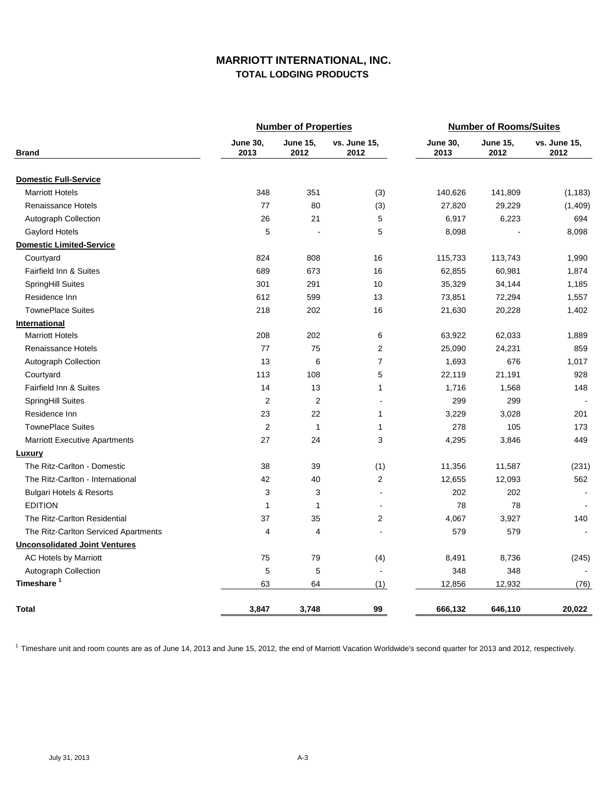# **MARRIOTT INTERNATIONAL, INC. TOTAL LODGING PRODUCTS**

|                                      |                         | <b>Number of Properties</b> |                      |                         | <b>Number of Rooms/Suites</b> |                      |
|--------------------------------------|-------------------------|-----------------------------|----------------------|-------------------------|-------------------------------|----------------------|
| <b>Brand</b>                         | <b>June 30,</b><br>2013 | <b>June 15,</b><br>2012     | vs. June 15,<br>2012 | <b>June 30,</b><br>2013 | <b>June 15,</b><br>2012       | vs. June 15,<br>2012 |
| <b>Domestic Full-Service</b>         |                         |                             |                      |                         |                               |                      |
| <b>Marriott Hotels</b>               | 348                     | 351                         | (3)                  | 140,626                 | 141,809                       | (1, 183)             |
| <b>Renaissance Hotels</b>            | 77                      | 80                          | (3)                  | 27,820                  | 29,229                        | (1,409)              |
| Autograph Collection                 | 26                      | 21                          | 5                    | 6,917                   | 6,223                         | 694                  |
| Gaylord Hotels                       | 5                       |                             | 5                    | 8,098                   |                               | 8,098                |
| <b>Domestic Limited-Service</b>      |                         |                             |                      |                         |                               |                      |
| Courtyard                            | 824                     | 808                         | 16                   | 115,733                 | 113,743                       | 1,990                |
| Fairfield Inn & Suites               | 689                     | 673                         | 16                   | 62,855                  | 60,981                        | 1,874                |
| SpringHill Suites                    | 301                     | 291                         | 10                   | 35,329                  | 34,144                        | 1,185                |
| Residence Inn                        | 612                     | 599                         | 13                   | 73,851                  | 72,294                        | 1,557                |
| <b>TownePlace Suites</b>             | 218                     | 202                         | 16                   | 21,630                  | 20,228                        | 1,402                |
| International                        |                         |                             |                      |                         |                               |                      |
| <b>Marriott Hotels</b>               | 208                     | 202                         | 6                    | 63,922                  | 62,033                        | 1,889                |
| Renaissance Hotels                   | 77                      | 75                          | $\overline{2}$       | 25,090                  | 24,231                        | 859                  |
| Autograph Collection                 | 13                      | 6                           | 7                    | 1,693                   | 676                           | 1,017                |
| Courtyard                            | 113                     | 108                         | 5                    | 22,119                  | 21,191                        | 928                  |
| Fairfield Inn & Suites               | 14                      | 13                          | 1                    | 1,716                   | 1,568                         | 148                  |
| SpringHill Suites                    | $\overline{2}$          | 2                           | $\overline{a}$       | 299                     | 299                           |                      |
| Residence Inn                        | 23                      | 22                          | 1                    | 3,229                   | 3,028                         | 201                  |
| <b>TownePlace Suites</b>             | $\overline{2}$          | $\mathbf{1}$                | $\mathbf{1}$         | 278                     | 105                           | 173                  |
| <b>Marriott Executive Apartments</b> | 27                      | 24                          | 3                    | 4,295                   | 3,846                         | 449                  |
| <b>Luxury</b>                        |                         |                             |                      |                         |                               |                      |
| The Ritz-Carlton - Domestic          | 38                      | 39                          | (1)                  | 11,356                  | 11,587                        | (231)                |
| The Ritz-Carlton - International     | 42                      | 40                          | 2                    | 12,655                  | 12,093                        | 562                  |
| <b>Bulgari Hotels &amp; Resorts</b>  | 3                       | 3                           | $\blacksquare$       | 202                     | 202                           |                      |
| <b>EDITION</b>                       | $\mathbf{1}$            | 1                           | $\overline{a}$       | 78                      | 78                            |                      |
| The Ritz-Carlton Residential         | 37                      | 35                          | $\overline{c}$       | 4,067                   | 3,927                         | 140                  |
| The Ritz-Carlton Serviced Apartments | 4                       | 4                           |                      | 579                     | 579                           |                      |
| <b>Unconsolidated Joint Ventures</b> |                         |                             |                      |                         |                               |                      |
| AC Hotels by Marriott                | 75                      | 79                          | (4)                  | 8,491                   | 8,736                         | (245)                |
| Autograph Collection                 | 5                       | 5                           | $\blacksquare$       | 348                     | 348                           |                      |
| Timeshare <sup>1</sup>               | 63                      | 64                          | (1)                  | 12,856                  | 12,932                        | (76)                 |
| Total                                | 3,847                   | 3,748                       | 99                   | 666,132                 | 646,110                       | 20,022               |

<sup>1</sup> Timeshare unit and room counts are as of June 14, 2013 and June 15, 2012, the end of Marriott Vacation Worldwide's second quarter for 2013 and 2012, respectively.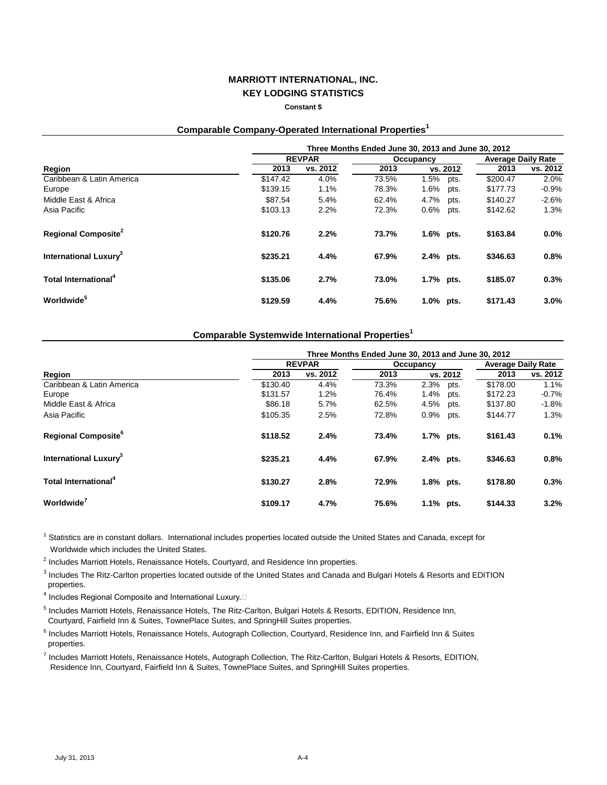**Constant \$**

**Comparable Company-Operated International Properties<sup>1</sup>**

|                                        | Three Months Ended June 30, 2013 and June 30, 2012 |               |           |              |      |                           |          |  |
|----------------------------------------|----------------------------------------------------|---------------|-----------|--------------|------|---------------------------|----------|--|
|                                        |                                                    | <b>REVPAR</b> | Occupancy |              |      | <b>Average Daily Rate</b> |          |  |
| Region                                 | 2013                                               | vs. 2012      | 2013      | vs. 2012     |      | 2013                      | vs. 2012 |  |
| Caribbean & Latin America              | \$147.42                                           | 4.0%          | 73.5%     | 1.5%         | pts. | \$200.47                  | 2.0%     |  |
| Europe                                 | \$139.15                                           | 1.1%          | 78.3%     | 1.6%         | pts. | \$177.73                  | $-0.9%$  |  |
| Middle East & Africa                   | \$87.54                                            | 5.4%          | 62.4%     | 4.7%         | pts. | \$140.27                  | $-2.6%$  |  |
| Asia Pacific                           | \$103.13                                           | 2.2%          | 72.3%     | 0.6%         | pts. | \$142.62                  | 1.3%     |  |
| <b>Regional Composite</b> <sup>2</sup> | \$120.76                                           | 2.2%          | 73.7%     | $1.6\%$ pts. |      | \$163.84                  | $0.0\%$  |  |
| International Luxury <sup>3</sup>      | \$235.21                                           | 4.4%          | 67.9%     | 2.4% pts.    |      | \$346.63                  | 0.8%     |  |
| Total International <sup>4</sup>       | \$135.06                                           | 2.7%          | 73.0%     | 1.7% pts.    |      | \$185.07                  | 0.3%     |  |
| <b>Worldwide</b> <sup>5</sup>          | \$129.59                                           | 4.4%          | 75.6%     | 1.0%         | pts. | \$171.43                  | 3.0%     |  |

### **Comparable Systemwide International Properties<sup>1</sup>**

|                                          | Three Months Ended June 30, 2013 and June 30, 2012 |               |       |              |                           |          |  |  |
|------------------------------------------|----------------------------------------------------|---------------|-------|--------------|---------------------------|----------|--|--|
|                                          |                                                    | <b>REVPAR</b> |       | Occupancy    | <b>Average Daily Rate</b> |          |  |  |
| Region                                   | 2013                                               | vs. 2012      | 2013  | vs. 2012     | 2013                      | vs. 2012 |  |  |
| Caribbean & Latin America                | \$130.40                                           | 4.4%          | 73.3% | 2.3%<br>pts. | \$178.00                  | 1.1%     |  |  |
| Europe                                   | \$131.57                                           | 1.2%          | 76.4% | 1.4%<br>pts. | \$172.23                  | $-0.7%$  |  |  |
| Middle East & Africa                     | \$86.18                                            | 5.7%          | 62.5% | 4.5%<br>pts. | \$137.80                  | $-1.8\%$ |  |  |
| Asia Pacific                             | \$105.35                                           | 2.5%          | 72.8% | 0.9%<br>pts. | \$144.77                  | 1.3%     |  |  |
| <b>Regional Composite</b> <sup>6</sup>   | \$118.52                                           | 2.4%          | 73.4% | 1.7% pts.    | \$161.43                  | 0.1%     |  |  |
| <b>International Luxury</b> <sup>3</sup> | \$235.21                                           | 4.4%          | 67.9% | 2.4% pts.    | \$346.63                  | 0.8%     |  |  |
| Total International <sup>4</sup>         | \$130.27                                           | 2.8%          | 72.9% | 1.8% pts.    | \$178.80                  | 0.3%     |  |  |
| Worldwide <sup>4</sup>                   | \$109.17                                           | 4.7%          | 75.6% | 1.1% pts.    | \$144.33                  | 3.2%     |  |  |

<sup>1</sup> Statistics are in constant dollars. International includes properties located outside the United States and Canada, except for Worldwide which includes the United States.

<sup>2</sup> Includes Marriott Hotels, Renaissance Hotels, Courtyard, and Residence Inn properties.

<sup>3</sup> Includes The Ritz-Carlton properties located outside of the United States and Canada and Bulgari Hotels & Resorts and EDITION properties.

<sup>4</sup> Includes Regional Composite and International Luxury.□

<sup>5</sup> Includes Marriott Hotels, Renaissance Hotels, The Ritz-Carlton, Bulgari Hotels & Resorts, EDITION, Residence Inn, Courtyard, Fairfield Inn & Suites, TownePlace Suites, and SpringHill Suites properties.

<sup>6</sup> Includes Marriott Hotels, Renaissance Hotels, Autograph Collection, Courtyard, Residence Inn, and Fairfield Inn & Suites properties.

7 Includes Marriott Hotels, Renaissance Hotels, Autograph Collection, The Ritz-Carlton, Bulgari Hotels & Resorts, EDITION, Residence Inn, Courtyard, Fairfield Inn & Suites, TownePlace Suites, and SpringHill Suites properties.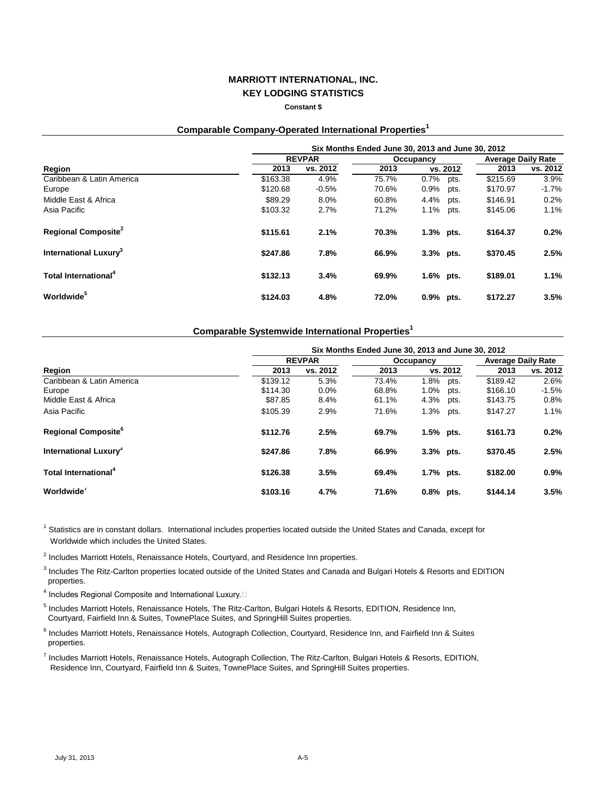**Constant \$**

# **Comparable Company-Operated International Properties<sup>1</sup>**

|                                   | Six Months Ended June 30, 2013 and June 30, 2012 |               |           |              |          |                           |          |  |
|-----------------------------------|--------------------------------------------------|---------------|-----------|--------------|----------|---------------------------|----------|--|
|                                   |                                                  | <b>REVPAR</b> | Occupancy |              |          | <b>Average Daily Rate</b> |          |  |
| Region                            | 2013                                             | vs. 2012      | 2013      |              | vs. 2012 | 2013                      | vs. 2012 |  |
| Caribbean & Latin America         | \$163.38                                         | 4.9%          | 75.7%     | 0.7%         | pts.     | \$215.69                  | 3.9%     |  |
| Europe                            | \$120.68                                         | $-0.5%$       | 70.6%     | 0.9%         | pts.     | \$170.97                  | $-1.7%$  |  |
| Middle East & Africa              | \$89.29                                          | 8.0%          | 60.8%     | 4.4%         | pts.     | \$146.91                  | 0.2%     |  |
| Asia Pacific                      | \$103.32                                         | 2.7%          | 71.2%     | 1.1%         | pts.     | \$145.06                  | 1.1%     |  |
| Regional Composite <sup>2</sup>   | \$115.61                                         | 2.1%          | 70.3%     | 1.3% pts.    |          | \$164.37                  | 0.2%     |  |
| International Luxury <sup>3</sup> | \$247.86                                         | 7.8%          | 66.9%     | 3.3% pts.    |          | \$370.45                  | 2.5%     |  |
| Total International <sup>4</sup>  | \$132.13                                         | 3.4%          | 69.9%     | $1.6\%$ pts. |          | \$189.01                  | $1.1\%$  |  |
| Worldwide <sup>5</sup>            | \$124.03                                         | 4.8%          | 72.0%     | $0.9\%$      | pts.     | \$172.27                  | 3.5%     |  |

### **Comparable Systemwide International Properties<sup>1</sup>**

|                                        | Six Months Ended June 30, 2013 and June 30, 2012 |               |       |              |                           |          |  |  |  |
|----------------------------------------|--------------------------------------------------|---------------|-------|--------------|---------------------------|----------|--|--|--|
|                                        |                                                  | <b>REVPAR</b> |       | Occupancy    | <b>Average Daily Rate</b> |          |  |  |  |
| Region                                 | 2013                                             | vs. 2012      | 2013  | vs. 2012     | 2013                      | vs. 2012 |  |  |  |
| Caribbean & Latin America              | \$139.12                                         | 5.3%          | 73.4% | 1.8%<br>pts. | \$189.42                  | 2.6%     |  |  |  |
| Europe                                 | \$114.30                                         | 0.0%          | 68.8% | 1.0%<br>pts. | \$166.10                  | $-1.5%$  |  |  |  |
| Middle East & Africa                   | \$87.85                                          | 8.4%          | 61.1% | 4.3%<br>pts. | \$143.75                  | 0.8%     |  |  |  |
| Asia Pacific                           | \$105.39                                         | 2.9%          | 71.6% | 1.3%<br>pts. | \$147.27                  | 1.1%     |  |  |  |
| <b>Regional Composite</b> <sup>6</sup> | \$112.76                                         | 2.5%          | 69.7% | $1.5%$ pts.  | \$161.73                  | 0.2%     |  |  |  |
| International Luxury <sup>3</sup>      | \$247.86                                         | 7.8%          | 66.9% | 3.3% pts.    | \$370.45                  | 2.5%     |  |  |  |
| Total International <sup>4</sup>       | \$126.38                                         | 3.5%          | 69.4% | 1.7% pts.    | \$182.00                  | $0.9\%$  |  |  |  |
| Worldwide <sup>'</sup>                 | \$103.16                                         | 4.7%          | 71.6% | $0.8\%$ pts. | \$144.14                  | 3.5%     |  |  |  |

<sup>1</sup> Statistics are in constant dollars. International includes properties located outside the United States and Canada, except for Worldwide which includes the United States.

<sup>2</sup> Includes Marriott Hotels, Renaissance Hotels, Courtyard, and Residence Inn properties.

<sup>3</sup> Includes The Ritz-Carlton properties located outside of the United States and Canada and Bulgari Hotels & Resorts and EDITION properties.

<sup>4</sup> Includes Regional Composite and International Luxury.□

<sup>5</sup> Includes Marriott Hotels, Renaissance Hotels, The Ritz-Carlton, Bulgari Hotels & Resorts, EDITION, Residence Inn, Courtyard, Fairfield Inn & Suites, TownePlace Suites, and SpringHill Suites properties.

<sup>6</sup> Includes Marriott Hotels, Renaissance Hotels, Autograph Collection, Courtyard, Residence Inn, and Fairfield Inn & Suites properties.

7 Includes Marriott Hotels, Renaissance Hotels, Autograph Collection, The Ritz-Carlton, Bulgari Hotels & Resorts, EDITION, Residence Inn, Courtyard, Fairfield Inn & Suites, TownePlace Suites, and SpringHill Suites properties.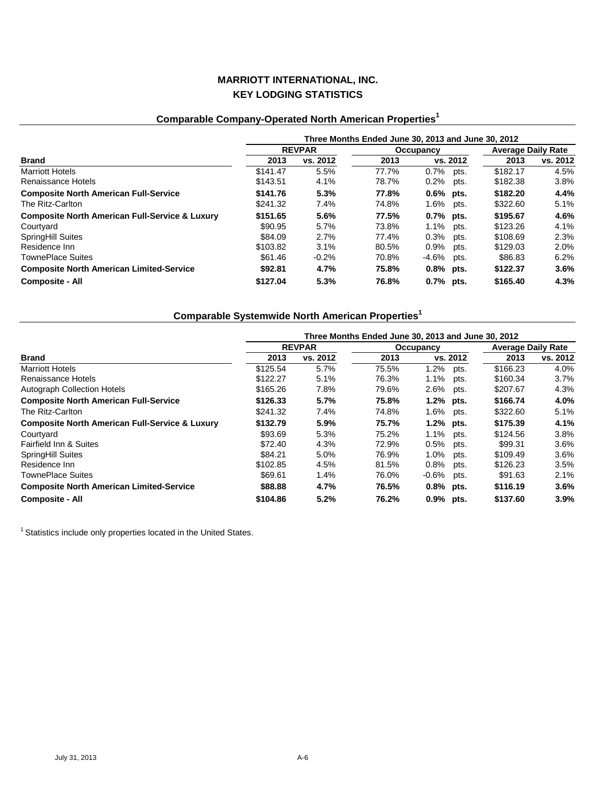# **Comparable Company-Operated North American Properties<sup>1</sup>**

|                                                           | Three Months Ended June 30, 2013 and June 30, 2012 |          |       |                  |          |                           |  |  |
|-----------------------------------------------------------|----------------------------------------------------|----------|-------|------------------|----------|---------------------------|--|--|
|                                                           | <b>REVPAR</b>                                      |          |       | <b>Occupancy</b> |          | <b>Average Daily Rate</b> |  |  |
| Brand                                                     | 2013                                               | vs. 2012 | 2013  | vs. 2012         | 2013     | vs. 2012                  |  |  |
| <b>Marriott Hotels</b>                                    | \$141.47                                           | 5.5%     | 77.7% | $0.7\%$<br>pts.  | \$182.17 | 4.5%                      |  |  |
| Renaissance Hotels                                        | \$143.51                                           | 4.1%     | 78.7% | $0.2\%$ pts.     | \$182.38 | 3.8%                      |  |  |
| <b>Composite North American Full-Service</b>              | \$141.76                                           | 5.3%     | 77.8% | $0.6\%$ pts.     | \$182.20 | 4.4%                      |  |  |
| The Ritz-Carlton                                          | \$241.32                                           | 7.4%     | 74.8% | $1.6\%$<br>pts.  | \$322.60 | 5.1%                      |  |  |
| <b>Composite North American Full-Service &amp; Luxury</b> | \$151.65                                           | 5.6%     | 77.5% | $0.7%$ pts.      | \$195.67 | 4.6%                      |  |  |
| Courtyard                                                 | \$90.95                                            | 5.7%     | 73.8% | 1.1% pts.        | \$123.26 | 4.1%                      |  |  |
| <b>SpringHill Suites</b>                                  | \$84.09                                            | 2.7%     | 77.4% | $0.3\%$<br>pts.  | \$108.69 | 2.3%                      |  |  |
| Residence Inn                                             | \$103.82                                           | 3.1%     | 80.5% | 0.9%<br>pts.     | \$129.03 | $2.0\%$                   |  |  |
| <b>TownePlace Suites</b>                                  | \$61.46                                            | $-0.2%$  | 70.8% | -4.6%<br>pts.    | \$86.83  | 6.2%                      |  |  |
| <b>Composite North American Limited-Service</b>           | \$92.81                                            | 4.7%     | 75.8% | $0.8\%$ pts.     | \$122.37 | 3.6%                      |  |  |
| <b>Composite - All</b>                                    | \$127.04                                           | 5.3%     | 76.8% | $0.7\%$ pts.     | \$165.40 | 4.3%                      |  |  |

# **Comparable Systemwide North American Properties<sup>1</sup>**

|                                                           | Three Months Ended June 30, 2013 and June 30, 2012 |          |           |              |          |                           |          |  |
|-----------------------------------------------------------|----------------------------------------------------|----------|-----------|--------------|----------|---------------------------|----------|--|
|                                                           | <b>REVPAR</b>                                      |          | Occupancy |              |          | <b>Average Daily Rate</b> |          |  |
| <b>Brand</b>                                              | 2013                                               | vs. 2012 | 2013      |              | vs. 2012 | 2013                      | vs. 2012 |  |
| <b>Marriott Hotels</b>                                    | \$125.54                                           | 5.7%     | 75.5%     | 1.2%         | pts.     | \$166.23                  | 4.0%     |  |
| Renaissance Hotels                                        | \$122.27                                           | 5.1%     | 76.3%     | $1.1\%$      | pts.     | \$160.34                  | 3.7%     |  |
| Autograph Collection Hotels                               | \$165.26                                           | 7.8%     | 79.6%     | 2.6%         | pts.     | \$207.67                  | 4.3%     |  |
| <b>Composite North American Full-Service</b>              | \$126.33                                           | 5.7%     | 75.8%     | 1.2% pts.    |          | \$166.74                  | 4.0%     |  |
| The Ritz-Carlton                                          | \$241.32                                           | 7.4%     | 74.8%     | 1.6%         | pts.     | \$322.60                  | 5.1%     |  |
| <b>Composite North American Full-Service &amp; Luxury</b> | \$132.79                                           | 5.9%     | 75.7%     | 1.2% pts.    |          | \$175.39                  | 4.1%     |  |
| Courtyard                                                 | \$93.69                                            | 5.3%     | 75.2%     | $1.1\%$      | pts.     | \$124.56                  | 3.8%     |  |
| Fairfield Inn & Suites                                    | \$72.40                                            | 4.3%     | 72.9%     | 0.5%         | pts.     | \$99.31                   | $3.6\%$  |  |
| SpringHill Suites                                         | \$84.21                                            | 5.0%     | 76.9%     | $1.0\%$      | pts.     | \$109.49                  | 3.6%     |  |
| Residence Inn                                             | \$102.85                                           | 4.5%     | 81.5%     | $0.8\%$      | pts.     | \$126.23                  | 3.5%     |  |
| <b>TownePlace Suites</b>                                  | \$69.61                                            | 1.4%     | 76.0%     | $-0.6%$      | pts.     | \$91.63                   | 2.1%     |  |
| <b>Composite North American Limited-Service</b>           | \$88.88                                            | 4.7%     | 76.5%     | $0.8\%$ pts. |          | \$116.19                  | 3.6%     |  |
| <b>Composite - All</b>                                    | \$104.86                                           | 5.2%     | 76.2%     | 0.9% pts.    |          | \$137.60                  | 3.9%     |  |

<sup>1</sup> Statistics include only properties located in the United States.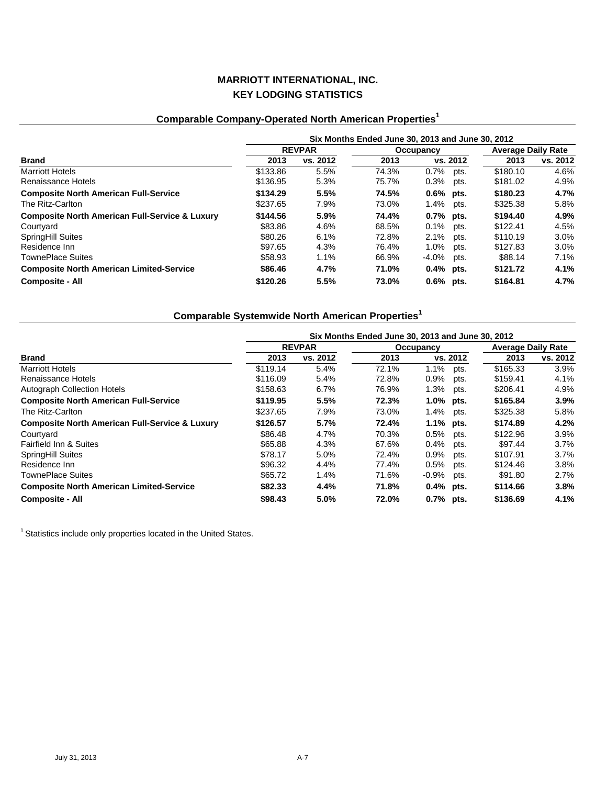# **Comparable Company-Operated North American Properties<sup>1</sup>**

|                                                           | Six Months Ended June 30, 2013 and June 30, 2012 |          |                  |              |      |                           |          |  |
|-----------------------------------------------------------|--------------------------------------------------|----------|------------------|--------------|------|---------------------------|----------|--|
|                                                           | <b>REVPAR</b>                                    |          | <b>Occupancy</b> |              |      | <b>Average Daily Rate</b> |          |  |
| <b>Brand</b>                                              | 2013                                             | vs. 2012 | 2013             | vs. 2012     |      | 2013                      | vs. 2012 |  |
| <b>Marriott Hotels</b>                                    | \$133.86                                         | 5.5%     | 74.3%            | $0.7\%$      | pts. | \$180.10                  | 4.6%     |  |
| Renaissance Hotels                                        | \$136.95                                         | 5.3%     | 75.7%            | $0.3\%$ pts. |      | \$181.02                  | 4.9%     |  |
| <b>Composite North American Full-Service</b>              | \$134.29                                         | 5.5%     | 74.5%            | $0.6\%$ pts. |      | \$180.23                  | 4.7%     |  |
| The Ritz-Carlton                                          | \$237.65                                         | 7.9%     | 73.0%            | 1.4%         | pts. | \$325.38                  | 5.8%     |  |
| <b>Composite North American Full-Service &amp; Luxury</b> | \$144.56                                         | 5.9%     | 74.4%            | $0.7%$ pts.  |      | \$194.40                  | 4.9%     |  |
| Courtyard                                                 | \$83.86                                          | 4.6%     | 68.5%            | $0.1\%$ pts. |      | \$122.41                  | 4.5%     |  |
| <b>SpringHill Suites</b>                                  | \$80.26                                          | 6.1%     | 72.8%            | 2.1%         | pts. | \$110.19                  | 3.0%     |  |
| Residence Inn                                             | \$97.65                                          | 4.3%     | 76.4%            | 1.0%         | pts. | \$127.83                  | $3.0\%$  |  |
| <b>TownePlace Suites</b>                                  | \$58.93                                          | 1.1%     | 66.9%            | $-4.0\%$     | pts. | \$88.14                   | 7.1%     |  |
| <b>Composite North American Limited-Service</b>           | \$86.46                                          | 4.7%     | 71.0%            | $0.4\%$ pts. |      | \$121.72                  | 4.1%     |  |
| <b>Composite - All</b>                                    | \$120.26                                         | 5.5%     | 73.0%            | $0.6\%$ pts. |      | \$164.81                  | 4.7%     |  |

# **Comparable Systemwide North American Properties<sup>1</sup>**

|                                                           | Six Months Ended June 30, 2013 and June 30, 2012 |          |       |                  |          |                           |  |  |
|-----------------------------------------------------------|--------------------------------------------------|----------|-------|------------------|----------|---------------------------|--|--|
|                                                           | <b>REVPAR</b>                                    |          |       | Occupancy        |          | <b>Average Daily Rate</b> |  |  |
| <b>Brand</b>                                              | 2013                                             | vs. 2012 | 2013  | vs. 2012         | 2013     | vs. 2012                  |  |  |
| <b>Marriott Hotels</b>                                    | \$119.14                                         | 5.4%     | 72.1% | $1.1\%$<br>pts.  | \$165.33 | 3.9%                      |  |  |
| Renaissance Hotels                                        | \$116.09                                         | 5.4%     | 72.8% | $0.9\%$<br>pts.  | \$159.41 | 4.1%                      |  |  |
| <b>Autograph Collection Hotels</b>                        | \$158.63                                         | 6.7%     | 76.9% | $1.3\%$<br>pts.  | \$206.41 | 4.9%                      |  |  |
| <b>Composite North American Full-Service</b>              | \$119.95                                         | 5.5%     | 72.3% | 1.0% pts.        | \$165.84 | 3.9%                      |  |  |
| The Ritz-Carlton                                          | \$237.65                                         | 7.9%     | 73.0% | 1.4%<br>pts.     | \$325.38 | 5.8%                      |  |  |
| <b>Composite North American Full-Service &amp; Luxury</b> | \$126.57                                         | 5.7%     | 72.4% | 1.1% pts.        | \$174.89 | 4.2%                      |  |  |
| Courtyard                                                 | \$86.48                                          | 4.7%     | 70.3% | 0.5%<br>pts.     | \$122.96 | 3.9%                      |  |  |
| Fairfield Inn & Suites                                    | \$65.88                                          | 4.3%     | 67.6% | 0.4%<br>pts.     | \$97.44  | $3.7\%$                   |  |  |
| SpringHill Suites                                         | \$78.17                                          | 5.0%     | 72.4% | $0.9\%$<br>pts.  | \$107.91 | $3.7\%$                   |  |  |
| Residence Inn                                             | \$96.32                                          | 4.4%     | 77.4% | 0.5%<br>pts.     | \$124.46 | $3.8\%$                   |  |  |
| <b>TownePlace Suites</b>                                  | \$65.72                                          | 1.4%     | 71.6% | $-0.9\%$<br>pts. | \$91.80  | 2.7%                      |  |  |
| <b>Composite North American Limited-Service</b>           | \$82.33                                          | 4.4%     | 71.8% | $0.4\%$ pts.     | \$114.66 | 3.8%                      |  |  |
| <b>Composite - All</b>                                    | \$98.43                                          | 5.0%     | 72.0% | $0.7%$ pts.      | \$136.69 | 4.1%                      |  |  |

 $^1$  Statistics include only properties located in the United States.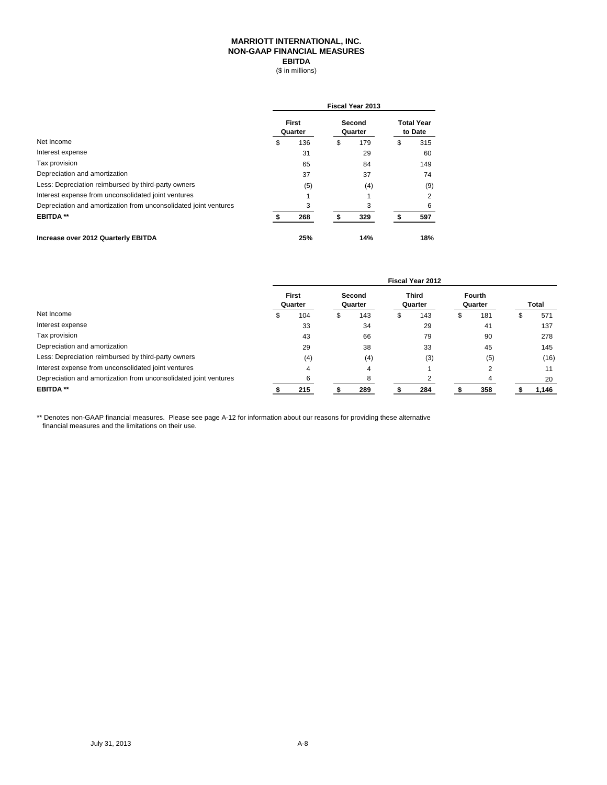### **MARRIOTT INTERNATIONAL, INC. NON-GAAP FINANCIAL MEASURES EBITDA**

(\$ in millions)

|                                                                  | <b>Fiscal Year 2013</b> |                  |    |                   |    |                              |  |  |
|------------------------------------------------------------------|-------------------------|------------------|----|-------------------|----|------------------------------|--|--|
|                                                                  |                         | First<br>Quarter |    | Second<br>Quarter |    | <b>Total Year</b><br>to Date |  |  |
| Net Income                                                       | \$                      | 136              | \$ | 179               | \$ | 315                          |  |  |
| Interest expense                                                 |                         | 31               |    | 29                |    | 60                           |  |  |
| Tax provision                                                    |                         | 65               |    | 84                |    | 149                          |  |  |
| Depreciation and amortization                                    |                         | 37               |    | 37                |    | 74                           |  |  |
| Less: Depreciation reimbursed by third-party owners              |                         | (5)              |    | (4)               |    | (9)                          |  |  |
| Interest expense from unconsolidated joint ventures              |                         |                  |    |                   |    | 2                            |  |  |
| Depreciation and amortization from unconsolidated joint ventures |                         | 3                |    | 3                 |    | 6                            |  |  |
| <b>EBITDA**</b>                                                  |                         | 268              |    | 329               |    | 597                          |  |  |
| Increase over 2012 Quarterly EBITDA                              |                         | 25%              |    | 14%               |    | 18%                          |  |  |

|                                                                  | Fiscal Year 2012 |                  |  |                   |   |                  |   |                          |  |              |  |
|------------------------------------------------------------------|------------------|------------------|--|-------------------|---|------------------|---|--------------------------|--|--------------|--|
|                                                                  |                  | First<br>Quarter |  | Second<br>Quarter |   | Third<br>Quarter |   | <b>Fourth</b><br>Quarter |  | <b>Total</b> |  |
| Net Income                                                       | S                | 104              |  | 143               | æ | 143              | Ъ | 181                      |  | 571          |  |
| Interest expense                                                 |                  | 33               |  | 34                |   | 29               |   | 41                       |  | 137          |  |
| Tax provision                                                    |                  | 43               |  | 66                |   | 79               |   | 90                       |  | 278          |  |
| Depreciation and amortization                                    |                  | 29               |  | 38                |   | 33               |   | 45                       |  | 145          |  |
| Less: Depreciation reimbursed by third-party owners              |                  | (4)              |  | (4)               |   | (3)              |   | (5)                      |  | (16)         |  |
| Interest expense from unconsolidated joint ventures              |                  |                  |  | 4                 |   |                  |   |                          |  | 11           |  |
| Depreciation and amortization from unconsolidated joint ventures |                  | 6                |  | 8                 |   |                  |   |                          |  | 20           |  |
| <b>EBITDA**</b>                                                  |                  | 215              |  | 289               |   | 284              |   | 358                      |  | 1,146        |  |

\*\* Denotes non-GAAP financial measures. Please see page A-12 for information about our reasons for providing these alternative financial measures and the limitations on their use.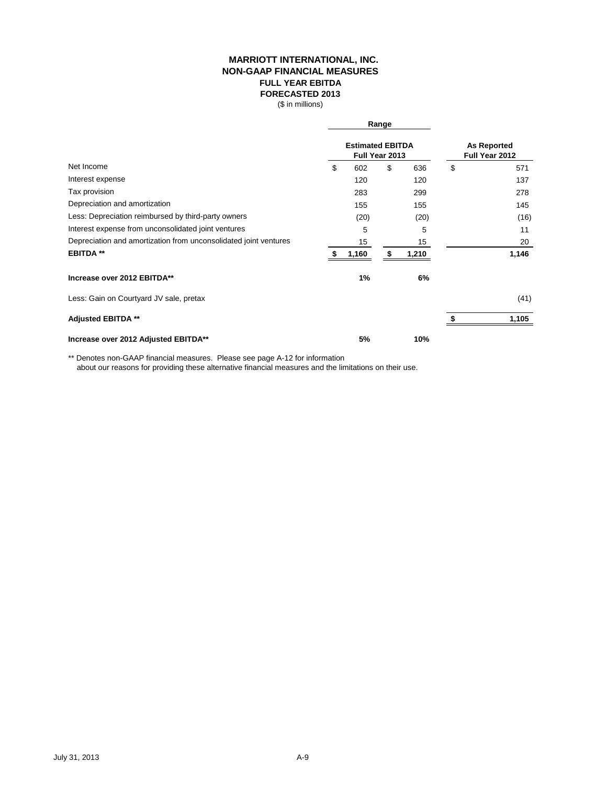### **MARRIOTT INTERNATIONAL, INC. NON-GAAP FINANCIAL MEASURES FULL YEAR EBITDA FORECASTED 2013**

(\$ in millions)

|                                                                  |                                           | Range |                                      |    |       |
|------------------------------------------------------------------|-------------------------------------------|-------|--------------------------------------|----|-------|
|                                                                  | <b>Estimated EBITDA</b><br>Full Year 2013 |       | <b>As Reported</b><br>Full Year 2012 |    |       |
| Net Income                                                       | \$<br>602                                 | \$    | 636                                  | \$ | 571   |
| Interest expense                                                 | 120                                       |       | 120                                  |    | 137   |
| Tax provision                                                    | 283                                       |       | 299                                  |    | 278   |
| Depreciation and amortization                                    | 155                                       |       | 155                                  |    | 145   |
| Less: Depreciation reimbursed by third-party owners              | (20)                                      |       | (20)                                 |    | (16)  |
| Interest expense from unconsolidated joint ventures              | 5                                         |       | 5                                    |    | 11    |
| Depreciation and amortization from unconsolidated joint ventures | 15                                        |       | 15                                   |    | 20    |
| <b>EBITDA**</b>                                                  | 1,160                                     |       | 1,210                                |    | 1,146 |
| Increase over 2012 EBITDA**                                      | 1%                                        |       | 6%                                   |    |       |
| Less: Gain on Courtyard JV sale, pretax                          |                                           |       |                                      |    | (41)  |
| <b>Adjusted EBITDA **</b>                                        |                                           |       |                                      |    | 1,105 |
| Increase over 2012 Adjusted EBITDA**                             | 5%                                        |       | 10%                                  |    |       |

\*\* Denotes non-GAAP financial measures. Please see page A-12 for information

about our reasons for providing these alternative financial measures and the limitations on their use.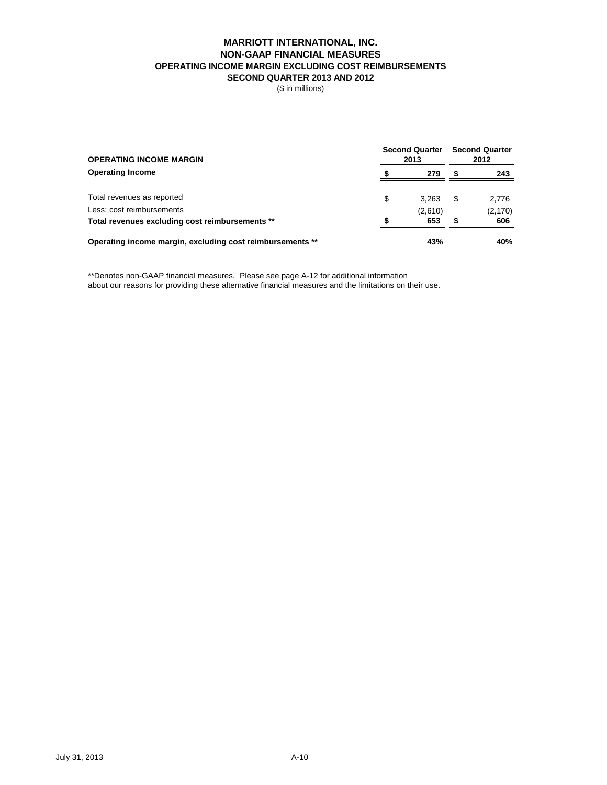### **MARRIOTT INTERNATIONAL, INC. NON-GAAP FINANCIAL MEASURES OPERATING INCOME MARGIN EXCLUDING COST REIMBURSEMENTS SECOND QUARTER 2013 AND 2012**

(\$ in millions)

| <b>OPERATING INCOME MARGIN</b>                            | <b>Second Quarter</b><br>2013 | <b>Second Quarter</b><br>2012 |          |  |
|-----------------------------------------------------------|-------------------------------|-------------------------------|----------|--|
| <b>Operating Income</b>                                   | 279                           |                               | 243      |  |
| Total revenues as reported                                | \$<br>3.263                   | S                             | 2,776    |  |
| Less: cost reimbursements                                 | (2,610)                       |                               | (2, 170) |  |
| Total revenues excluding cost reimbursements **           | 653                           |                               | 606      |  |
| Operating income margin, excluding cost reimbursements ** | 43%                           |                               | 40%      |  |

\*\*Denotes non-GAAP financial measures. Please see page A-12 for additional information about our reasons for providing these alternative financial measures and the limitations on their use.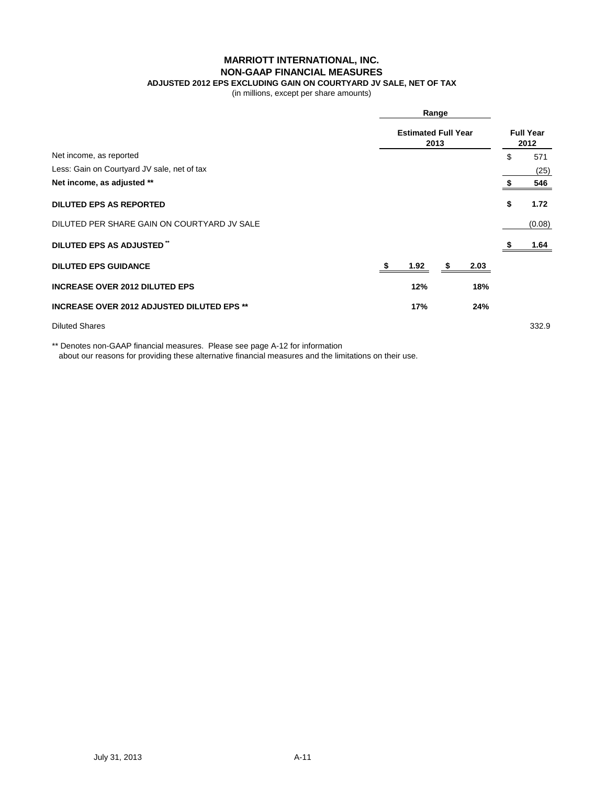**MARRIOTT INTERNATIONAL, INC.**

### **NON-GAAP FINANCIAL MEASURES**

# **ADJUSTED 2012 EPS EXCLUDING GAIN ON COURTYARD JV SALE, NET OF TAX**

(in millions, except per share amounts)

|                                                   |  | Range<br><b>Estimated Full Year</b><br>2013 |   |      |    |        |
|---------------------------------------------------|--|---------------------------------------------|---|------|----|--------|
|                                                   |  |                                             |   |      |    |        |
| Net income, as reported                           |  |                                             |   |      | \$ | 571    |
| Less: Gain on Courtyard JV sale, net of tax       |  |                                             |   |      |    | (25)   |
| Net income, as adjusted **                        |  |                                             |   |      |    | 546    |
| <b>DILUTED EPS AS REPORTED</b>                    |  |                                             |   |      | \$ | 1.72   |
| DILUTED PER SHARE GAIN ON COURTYARD JV SALE       |  |                                             |   |      |    | (0.08) |
| DILUTED EPS AS ADJUSTED"                          |  |                                             |   |      |    | 1.64   |
| <b>DILUTED EPS GUIDANCE</b>                       |  | 1.92                                        | S | 2.03 |    |        |
| <b>INCREASE OVER 2012 DILUTED EPS</b>             |  | 12%                                         |   | 18%  |    |        |
| <b>INCREASE OVER 2012 ADJUSTED DILUTED EPS **</b> |  | 17%                                         |   | 24%  |    |        |
| <b>Diluted Shares</b>                             |  |                                             |   |      |    | 332.9  |

\*\* Denotes non-GAAP financial measures. Please see page A-12 for information about our reasons for providing these alternative financial measures and the limitations on their use.